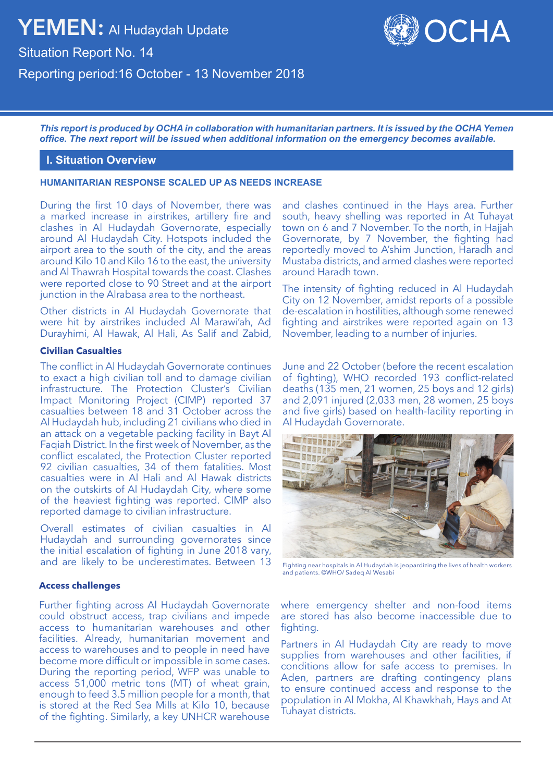

*This report is produced by OCHA in collaboration with humanitarian partners. It is issued by the OCHA Yemen office. The next report will be issued when additional information on the emergency becomes available.*

# **I. Situation Overview**

### **HUMANITARIAN RESPONSE SCALED UP AS NEEDS INCREASE**

During the first 10 days of November, there was a marked increase in airstrikes, artillery fire and clashes in Al Hudaydah Governorate, especially around Al Hudaydah City. Hotspots included the airport area to the south of the city, and the areas around Kilo 10 and Kilo 16 to the east, the university and Al Thawrah Hospital towards the coast. Clashes were reported close to 90 Street and at the airport junction in the Alrabasa area to the northeast.

Other districts in Al Hudaydah Governorate that were hit by airstrikes included Al Marawi'ah, Ad Durayhimi, Al Hawak, Al Hali, As Salif and Zabid,

# **Civilian Casualties**

The conflict in Al Hudaydah Governorate continues to exact a high civilian toll and to damage civilian infrastructure. The Protection Cluster's Civilian Impact Monitoring Project (CIMP) reported 37 casualties between 18 and 31 October across the Al Hudaydah hub, including 21 civilians who died in an attack on a vegetable packing facility in Bayt Al Faqiah District. In the first week of November, as the conflict escalated, the Protection Cluster reported 92 civilian casualties, 34 of them fatalities. Most casualties were in Al Hali and Al Hawak districts on the outskirts of Al Hudaydah City, where some of the heaviest fighting was reported. CIMP also reported damage to civilian infrastructure.

Overall estimates of civilian casualties in Al Hudaydah and surrounding governorates since the initial escalation of fighting in June 2018 vary, and are likely to be underestimates. Between 13

## **Access challenges**

Further fighting across Al Hudaydah Governorate could obstruct access, trap civilians and impede access to humanitarian warehouses and other facilities. Already, humanitarian movement and access to warehouses and to people in need have become more difficult or impossible in some cases. During the reporting period, WFP was unable to access 51,000 metric tons (MT) of wheat grain, enough to feed 3.5 million people for a month, that is stored at the Red Sea Mills at Kilo 10, because of the fighting. Similarly, a key UNHCR warehouse

and clashes continued in the Hays area. Further south, heavy shelling was reported in At Tuhayat town on 6 and 7 November. To the north, in Hajjah Governorate, by 7 November, the fighting had reportedly moved to A'shim Junction, Haradh and Mustaba districts, and armed clashes were reported around Haradh town.

The intensity of fighting reduced in Al Hudaydah City on 12 November, amidst reports of a possible de-escalation in hostilities, although some renewed fighting and airstrikes were reported again on 13 November, leading to a number of injuries.

June and 22 October (before the recent escalation of fighting), WHO recorded 193 conflict-related deaths (135 men, 21 women, 25 boys and 12 girls) and 2,091 injured (2,033 men, 28 women, 25 boys and five girls) based on health-facility reporting in Al Hudaydah Governorate.



Fighting near hospitals in Al Hudaydah is jeopardizing the lives of health workers and patients. ©WHO/ Sadeq Al Wesabi

where emergency shelter and non-food items are stored has also become inaccessible due to fighting.

Partners in Al Hudaydah City are ready to move supplies from warehouses and other facilities, if conditions allow for safe access to premises. In Aden, partners are drafting contingency plans to ensure continued access and response to the population in Al Mokha, Al Khawkhah, Hays and At Tuhayat districts.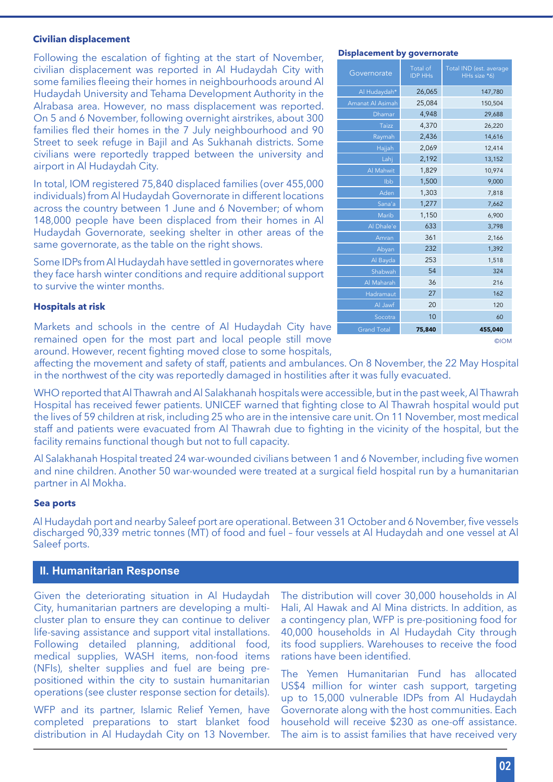### **Civilian displacement**

Following the escalation of fighting at the start of November, civilian displacement was reported in Al Hudaydah City with some families fleeing their homes in neighbourhoods around Al Hudaydah University and Tehama Development Authority in the Alrabasa area. However, no mass displacement was reported. On 5 and 6 November, following overnight airstrikes, about 300 families fled their homes in the 7 July neighbourhood and 90 Street to seek refuge in Bajil and As Sukhanah districts. Some civilians were reportedly trapped between the university and airport in Al Hudaydah City.

In total, IOM registered 75,840 displaced families (over 455,000 individuals) from Al Hudaydah Governorate in different locations across the country between 1 June and 6 November; of whom 148,000 people have been displaced from their homes in Al Hudaydah Governorate, seeking shelter in other areas of the same governorate, as the table on the right shows.

Some IDPs from Al Hudaydah have settled in governorates where they face harsh winter conditions and require additional support to survive the winter months.

### **Hospitals at risk**

Markets and schools in the centre of Al Hudaydah City have remained open for the most part and local people still move around. However, recent fighting moved close to some hospitals,

affecting the movement and safety of staff, patients and ambulances. On 8 November, the 22 May Hospital in the northwest of the city was reportedly damaged in hostilities after it was fully evacuated.

WHO reported that Al Thawrah and Al Salakhanah hospitals were accessible, but in the past week, Al Thawrah Hospital has received fewer patients. UNICEF warned that fighting close to Al Thawrah hospital would put the lives of 59 children at risk, including 25 who are in the intensive care unit. On 11 November, most medical staff and patients were evacuated from Al Thawrah due to fighting in the vicinity of the hospital, but the facility remains functional though but not to full capacity.

Al Salakhanah Hospital treated 24 war-wounded civilians between 1 and 6 November, including five women and nine children. Another 50 war-wounded were treated at a surgical field hospital run by a humanitarian partner in Al Mokha.

## **Sea ports**

Al Hudaydah port and nearby Saleef port are operational. Between 31 October and 6 November, five vessels discharged 90,339 metric tonnes (MT) of food and fuel – four vessels at Al Hudaydah and one vessel at Al Saleef ports.

# **II. Humanitarian Response**

Given the deteriorating situation in Al Hudaydah City, humanitarian partners are developing a multicluster plan to ensure they can continue to deliver life-saving assistance and support vital installations. Following detailed planning, additional food, medical supplies, WASH items, non-food items (NFIs), shelter supplies and fuel are being prepositioned within the city to sustain humanitarian operations (see cluster response section for details).

WFP and its partner, Islamic Relief Yemen, have completed preparations to start blanket food distribution in Al Hudaydah City on 13 November. The distribution will cover 30,000 households in Al Hali, Al Hawak and Al Mina districts. In addition, as a contingency plan, WFP is pre-positioning food for 40,000 households in Al Hudaydah City through its food suppliers. Warehouses to receive the food rations have been identified.

The Yemen Humanitarian Fund has allocated US\$4 million for winter cash support, targeting up to 15,000 vulnerable IDPs from Al Hudaydah Governorate along with the host communities. Each household will receive \$230 as one-off assistance. The aim is to assist families that have received very

### **Displacement by governorate**

| Governorate             | Total of<br><b>IDP HHs</b> | Total IND (est. average<br>HHs size *6) |
|-------------------------|----------------------------|-----------------------------------------|
| Al Hudaydah*            | 26,065                     | 147,780                                 |
| <b>Amanat Al Asimah</b> | 25,084                     | 150,504                                 |
| Dhamar                  | 4,948                      | 29,688                                  |
| Taizz                   | 4,370                      | 26,220                                  |
| Raymah                  | 2,436                      | 14,616                                  |
| Hajjah                  | 2,069                      | 12,414                                  |
| Lahi                    | 2,192                      | 13,152                                  |
| Al Mahwit               | 1,829                      | 10,974                                  |
| Ibb                     | 1,500                      | 9,000                                   |
| Aden                    | 1,303                      | 7,818                                   |
| Sana'a                  | 1,277                      | 7,662                                   |
| Marib                   | 1,150                      | 6,900                                   |
| Al Dhale'e              | 633                        | 3,798                                   |
| Amran                   | 361                        | 2,166                                   |
| Abyan                   | 232                        | 1,392                                   |
| Al Bayda                | 253                        | 1,518                                   |
| Shabwah                 | 54                         | 324                                     |
| Al Maharah              | 36                         | 216                                     |
| Hadramaut               | 27                         | 162                                     |
| Al Jawf                 | 20                         | 120                                     |
| Socotra                 | 10                         | 60                                      |
| <b>Grand Total</b>      | 75,840                     | 455,040                                 |

©IOM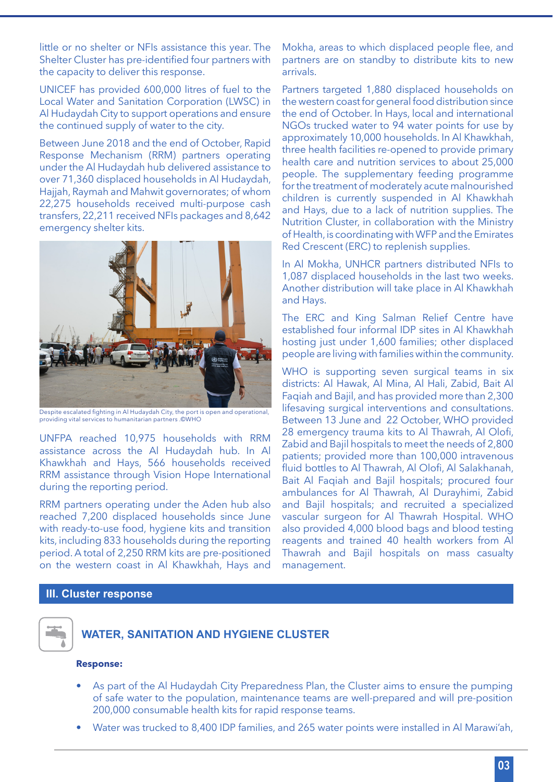little or no shelter or NFIs assistance this year. The Shelter Cluster has pre-identified four partners with the capacity to deliver this response.

UNICEF has provided 600,000 litres of fuel to the Local Water and Sanitation Corporation (LWSC) in Al Hudaydah City to support operations and ensure the continued supply of water to the city.

Between June 2018 and the end of October, Rapid Response Mechanism (RRM) partners operating under the Al Hudaydah hub delivered assistance to over 71,360 displaced households in Al Hudaydah, Hajjah, Raymah and Mahwit governorates; of whom 22,275 households received multi-purpose cash transfers, 22,211 received NFIs packages and 8,642 emergency shelter kits.



Despite escalated fighting in Al Hudaydah City, the port is open and operational, providing vital services to humanitarian partners .©WHO

UNFPA reached 10,975 households with RRM assistance across the Al Hudaydah hub. In Al Khawkhah and Hays, 566 households received RRM assistance through Vision Hope International during the reporting period.

RRM partners operating under the Aden hub also reached 7,200 displaced households since June with ready-to-use food, hygiene kits and transition kits, including 833 households during the reporting period. A total of 2,250 RRM kits are pre-positioned on the western coast in Al Khawkhah, Hays and

Mokha, areas to which displaced people flee, and partners are on standby to distribute kits to new arrivals.

Partners targeted 1,880 displaced households on the western coast for general food distribution since the end of October. In Hays, local and international NGOs trucked water to 94 water points for use by approximately 10,000 households. In Al Khawkhah, three health facilities re-opened to provide primary health care and nutrition services to about 25,000 people. The supplementary feeding programme for the treatment of moderately acute malnourished children is currently suspended in Al Khawkhah and Hays, due to a lack of nutrition supplies. The Nutrition Cluster, in collaboration with the Ministry of Health, is coordinating with WFP and the Emirates Red Crescent (ERC) to replenish supplies.

In Al Mokha, UNHCR partners distributed NFIs to 1,087 displaced households in the last two weeks. Another distribution will take place in Al Khawkhah and Hays.

The ERC and King Salman Relief Centre have established four informal IDP sites in Al Khawkhah hosting just under 1,600 families; other displaced people are living with families within the community.

WHO is supporting seven surgical teams in six districts: Al Hawak, Al Mina, Al Hali, Zabid, Bait Al Faqiah and Bajil, and has provided more than 2,300 lifesaving surgical interventions and consultations. Between 13 June and 22 October, WHO provided 28 emergency trauma kits to Al Thawrah, Al Olofi, Zabid and Bajil hospitals to meet the needs of 2,800 patients; provided more than 100,000 intravenous fluid bottles to Al Thawrah, Al Olofi, Al Salakhanah, Bait Al Faqiah and Bajil hospitals; procured four ambulances for Al Thawrah, Al Durayhimi, Zabid and Bajil hospitals; and recruited a specialized vascular surgeon for Al Thawrah Hospital. WHO also provided 4,000 blood bags and blood testing reagents and trained 40 health workers from Al Thawrah and Bajil hospitals on mass casualty management.

# **III. Cluster response**

# **WATER, SANITATION AND HYGIENE CLUSTER**

## **Response:**

- As part of the Al Hudaydah City Preparedness Plan, the Cluster aims to ensure the pumping of safe water to the population, maintenance teams are well-prepared and will pre-position 200,000 consumable health kits for rapid response teams.
- Water was trucked to 8,400 IDP families, and 265 water points were installed in Al Marawi'ah,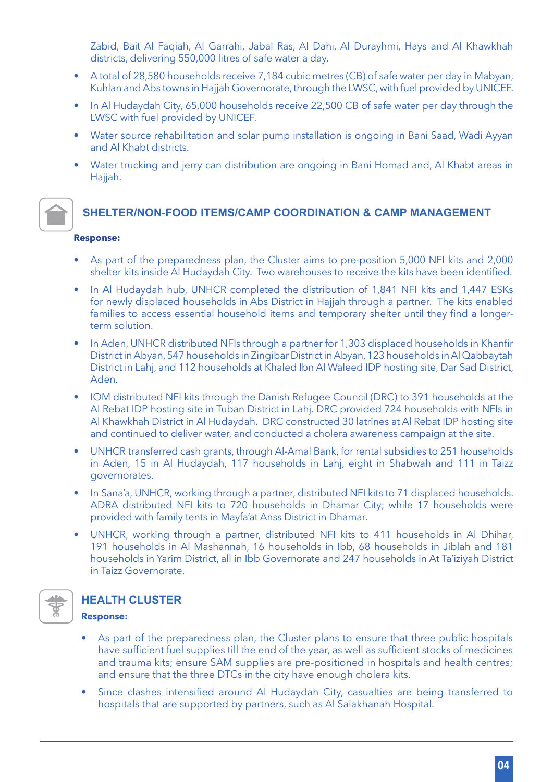Zabid, Bait Al Faqiah, Al Garrahi, Jabal Ras, Al Dahi, Al Durayhmi, Hays and Al Khawkhah districts, delivering 550,000 litres of safe water a day.

- A total of 28,580 households receive 7,184 cubic metres (CB) of safe water per day in Mabyan, Kuhlan and Abs towns in Hajjah Governorate, through the LWSC, with fuel provided by UNICEF.
- In Al Hudaydah City, 65,000 households receive 22,500 CB of safe water per day through the LWSC with fuel provided by UNICEF.
- Water source rehabilitation and solar pump installation is ongoing in Bani Saad, Wadi Ayyan and Al Khabt districts.
- Water trucking and jerry can distribution are ongoing in Bani Homad and, Al Khabt areas in Hajjah.

# **SHELTER/NON-FOOD ITEMS/CAMP COORDINATION & CAMP MANAGEMENT**

# **Response:**

- As part of the preparedness plan, the Cluster aims to pre-position 5,000 NFI kits and 2,000 shelter kits inside Al Hudaydah City. Two warehouses to receive the kits have been identified.
- In Al Hudaydah hub, UNHCR completed the distribution of 1,841 NFI kits and 1,447 ESKs for newly displaced households in Abs District in Hajjah through a partner. The kits enabled families to access essential household items and temporary shelter until they find a longerterm solution.
- In Aden, UNHCR distributed NFIs through a partner for 1,303 displaced households in Khanfir District in Abyan, 547 households in Zingibar District in Abyan, 123 households in Al Qabbaytah District in Lahj, and 112 households at Khaled Ibn Al Waleed IDP hosting site, Dar Sad District, Aden.
- IOM distributed NFI kits through the Danish Refugee Council (DRC) to 391 households at the Al Rebat IDP hosting site in Tuban District in Lahj. DRC provided 724 households with NFIs in Al Khawkhah District in Al Hudaydah. DRC constructed 30 latrines at Al Rebat IDP hosting site and continued to deliver water, and conducted a cholera awareness campaign at the site.
- UNHCR transferred cash grants, through Al-Amal Bank, for rental subsidies to 251 households in Aden, 15 in Al Hudaydah, 117 households in Lahj, eight in Shabwah and 111 in Taizz governorates.
- In Sana'a, UNHCR, working through a partner, distributed NFI kits to 71 displaced households. ADRA distributed NFI kits to 720 households in Dhamar City; while 17 households were provided with family tents in Mayfa'at Anss District in Dhamar.
- UNHCR, working through a partner, distributed NFI kits to 411 households in Al Dhihar, 191 households in Al Mashannah, 16 households in Ibb, 68 households in Jiblah and 181 households in Yarim District, all in Ibb Governorate and 247 households in At Ta'iziyah District in Taizz Governorate.



# **HEALTH CLUSTER**

# **Response:**

- As part of the preparedness plan, the Cluster plans to ensure that three public hospitals have sufficient fuel supplies till the end of the year, as well as sufficient stocks of medicines and trauma kits; ensure SAM supplies are pre-positioned in hospitals and health centres; and ensure that the three DTCs in the city have enough cholera kits.
- Since clashes intensified around Al Hudaydah City, casualties are being transferred to hospitals that are supported by partners, such as Al Salakhanah Hospital.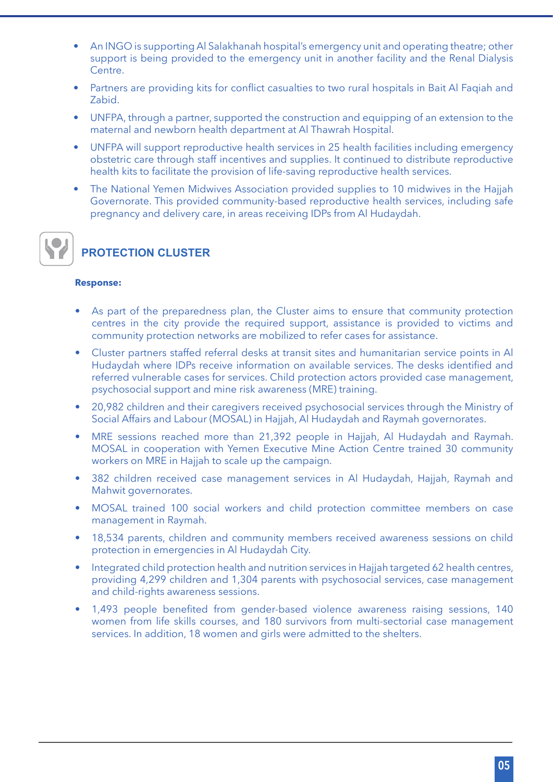- An INGO is supporting Al Salakhanah hospital's emergency unit and operating theatre; other support is being provided to the emergency unit in another facility and the Renal Dialysis Centre.
- Partners are providing kits for conflict casualties to two rural hospitals in Bait Al Fagiah and Zabid.
- UNFPA, through a partner, supported the construction and equipping of an extension to the maternal and newborn health department at Al Thawrah Hospital.
- UNFPA will support reproductive health services in 25 health facilities including emergency obstetric care through staff incentives and supplies. It continued to distribute reproductive health kits to facilitate the provision of life-saving reproductive health services.
- The National Yemen Midwives Association provided supplies to 10 midwives in the Hajjah Governorate. This provided community-based reproductive health services, including safe pregnancy and delivery care, in areas receiving IDPs from Al Hudaydah.



**PROTECTION CLUSTER**

# **Response:**

- As part of the preparedness plan, the Cluster aims to ensure that community protection centres in the city provide the required support, assistance is provided to victims and community protection networks are mobilized to refer cases for assistance.
- Cluster partners staffed referral desks at transit sites and humanitarian service points in Al Hudaydah where IDPs receive information on available services. The desks identified and referred vulnerable cases for services. Child protection actors provided case management, psychosocial support and mine risk awareness (MRE) training.
- 20,982 children and their caregivers received psychosocial services through the Ministry of Social Affairs and Labour (MOSAL) in Hajjah, Al Hudaydah and Raymah governorates.
- MRE sessions reached more than 21,392 people in Hajjah, Al Hudaydah and Raymah. MOSAL in cooperation with Yemen Executive Mine Action Centre trained 30 community workers on MRE in Hajjah to scale up the campaign.
- 382 children received case management services in Al Hudaydah, Hajjah, Raymah and Mahwit governorates.
- MOSAL trained 100 social workers and child protection committee members on case management in Raymah.
- 18,534 parents, children and community members received awareness sessions on child protection in emergencies in Al Hudaydah City.
- Integrated child protection health and nutrition services in Hajjah targeted 62 health centres, providing 4,299 children and 1,304 parents with psychosocial services, case management and child-rights awareness sessions.
- 1,493 people benefited from gender-based violence awareness raising sessions, 140 women from life skills courses, and 180 survivors from multi-sectorial case management services. In addition, 18 women and girls were admitted to the shelters.